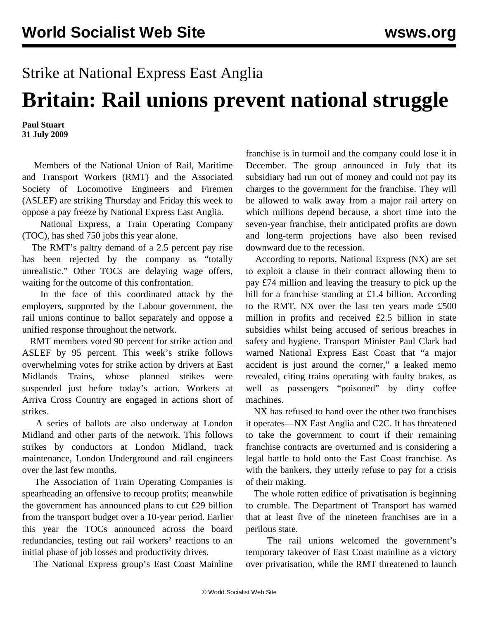## Strike at National Express East Anglia

## **Britain: Rail unions prevent national struggle**

**Paul Stuart 31 July 2009**

 Members of the National Union of Rail, Maritime and Transport Workers (RMT) and the Associated Society of Locomotive Engineers and Firemen (ASLEF) are striking Thursday and Friday this week to oppose a pay freeze by National Express East Anglia.

 National Express, a Train Operating Company (TOC), has shed 750 jobs this year alone.

 The RMT's paltry demand of a 2.5 percent pay rise has been rejected by the company as "totally unrealistic." Other TOCs are delaying wage offers, waiting for the outcome of this confrontation.

 In the face of this coordinated attack by the employers, supported by the Labour government, the rail unions continue to ballot separately and oppose a unified response throughout the network.

 RMT members voted 90 percent for strike action and ASLEF by 95 percent. This week's strike follows overwhelming votes for strike action by drivers at East Midlands Trains, whose planned strikes were suspended just before today's action. Workers at Arriva Cross Country are engaged in actions short of strikes.

 A series of ballots are also underway at London Midland and other parts of the network. This follows strikes by conductors at London Midland, track maintenance, London Underground and rail engineers over the last few months.

 The Association of Train Operating Companies is spearheading an offensive to recoup profits; meanwhile the government has announced plans to cut £29 billion from the transport budget over a 10-year period. Earlier this year the TOCs announced across the board redundancies, testing out rail workers' reactions to an initial phase of job losses and productivity drives.

The National Express group's East Coast Mainline

franchise is in turmoil and the company could lose it in December. The group announced in July that its subsidiary had run out of money and could not pay its charges to the government for the franchise. They will be allowed to walk away from a major rail artery on which millions depend because, a short time into the seven-year franchise, their anticipated profits are down and long-term projections have also been revised downward due to the recession.

 According to reports, National Express (NX) are set to exploit a clause in their contract allowing them to pay £74 million and leaving the treasury to pick up the bill for a franchise standing at £1.4 billion. According to the RMT, NX over the last ten years made £500 million in profits and received £2.5 billion in state subsidies whilst being accused of serious breaches in safety and hygiene. Transport Minister Paul Clark had warned National Express East Coast that "a major accident is just around the corner," a leaked memo revealed, citing trains operating with faulty brakes, as well as passengers "poisoned" by dirty coffee machines.

 NX has refused to hand over the other two franchises it operates—NX East Anglia and C2C. It has threatened to take the government to court if their remaining franchise contracts are overturned and is considering a legal battle to hold onto the East Coast franchise. As with the bankers, they utterly refuse to pay for a crisis of their making.

 The whole rotten edifice of privatisation is beginning to crumble. The Department of Transport has warned that at least five of the nineteen franchises are in a perilous state.

 The rail unions welcomed the government's temporary takeover of East Coast mainline as a victory over privatisation, while the RMT threatened to launch